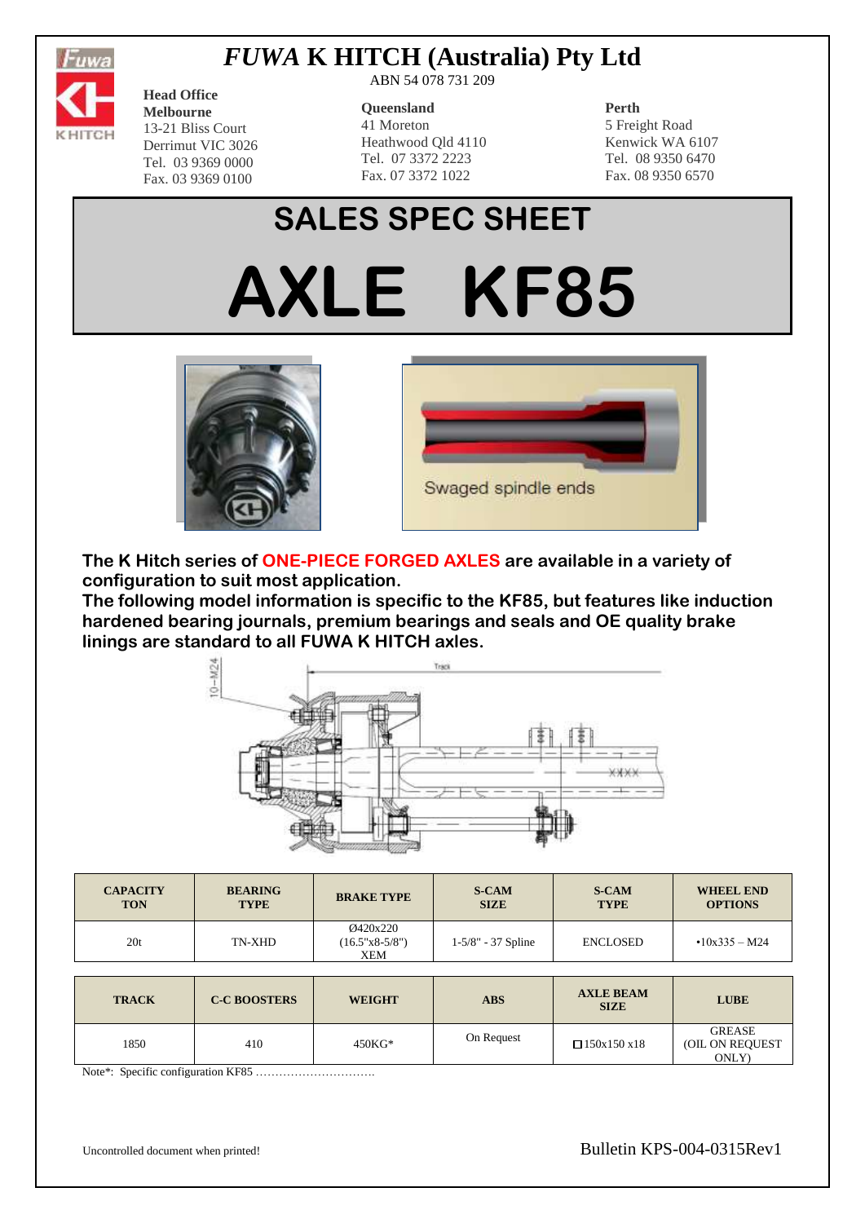

## *FUWA* **K HITCH (Australia) Pty Ltd**

**Head Office Melbourne** 13-21 Bliss Court Derrimut VIC 3026 Tel. 03 9369 0000

Fax. 03 9369 0100

ABN 54 078 731 209

#### **Queensland**

41 Moreton Heathwood Qld 4110 Tel. 07 3372 2223 Fax. 07 3372 1022

### **Perth**

5 Freight Road Kenwick WA 6107 Tel. 08 9350 6470 Fax. 08 9350 6570

# **SALES SPEC SHEET**

**AXLE KF85**





**The K Hitch series of ONE-PIECE FORGED AXLES are available in a variety of configuration to suit most application.**

**The following model information is specific to the KF85, but features like induction hardened bearing journals, premium bearings and seals and OE quality brake linings are standard to all FUWA K HITCH axles.**



| <b>CAPACITY</b> | <b>BEARING</b> | <b>BRAKE TYPE</b>                          | <b>S-CAM</b>         | <b>S-CAM</b>    | <b>WHEEL END</b>     |
|-----------------|----------------|--------------------------------------------|----------------------|-----------------|----------------------|
| <b>TON</b>      | <b>TYPE</b>    |                                            | <b>SIZE</b>          | <b>TYPE</b>     | <b>OPTIONS</b>       |
| 20t             | TN-XHD         | Ø420x220<br>$(16.5"x8-5/8")$<br><b>XEM</b> | $1-5/8" - 37$ Spline | <b>ENCLOSED</b> | $\cdot$ 10x335 – M24 |

| <b>TRACK</b> | <b>C-C BOOSTERS</b> | <b>WEIGHT</b> | <b>ABS</b> | <b>AXLE BEAM</b><br><b>SIZE</b> | <b>LUBE</b>                               |
|--------------|---------------------|---------------|------------|---------------------------------|-------------------------------------------|
| 1850         | 410                 | 450KG*        | On Request | $\Box$ 150x150 x18              | <b>GREASE</b><br>(OIL ON REQUEST<br>ONLY) |

Note\*: Specific configuration KF85 ………………………….

Uncontrolled document when printed!<br>
Bulletin KPS-004-0315Rev1